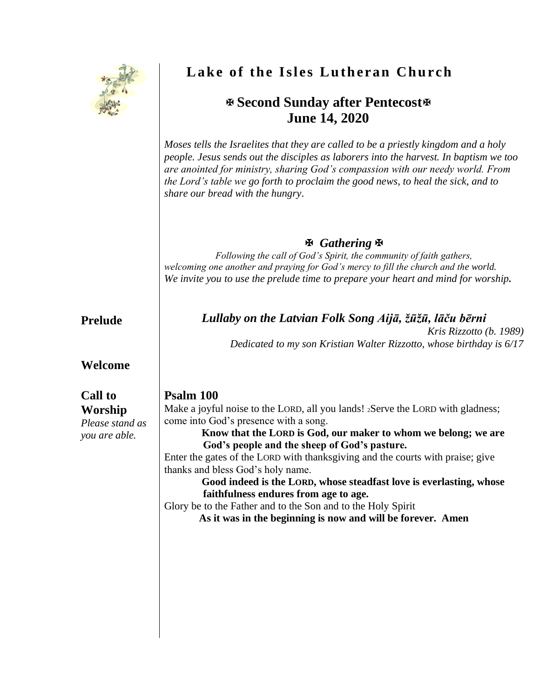

# **Lake of the Isles Lutheran Church**

## **Second Sunday after Pentecost June 14, 2020**

*Moses tells the Israelites that they are called to be a priestly kingdom and a holy people. Jesus sends out the disciples as laborers into the harvest. In baptism we too are anointed for ministry, sharing God's compassion with our needy world. From the Lord's table we go forth to proclaim the good news, to heal the sick, and to share our bread with the hungry*.

### *Gathering*

*Following the call of God's Spirit, the community of faith gathers, welcoming one another and praying for God's mercy to fill the church and the world. We invite you to use the prelude time to prepare your heart and mind for worship.*

## **Prelude**

**Welcome**

**Call to Worship** *Please stand as you are able.*

# *Lullaby on the Latvian Folk Song Aijā, žūžū, lāču bērni*

*Kris Rizzotto (b. 1989) Dedicated to my son Kristian Walter Rizzotto, whose birthday is 6/17*

#### **Psalm 100**

Make a joyful noise to the LORD, all you lands! *2Serve the LORD* with gladness; come into God's presence with a song.

**Know that the LORD is God, our maker to whom we belong; we are God's people and the sheep of God's pasture.**

Enter the gates of the LORD with thanksgiving and the courts with praise; give thanks and bless God's holy name.

**Good indeed is the LORD, whose steadfast love is everlasting, whose faithfulness endures from age to age.**

Glory be to the Father and to the Son and to the Holy Spirit

**As it was in the beginning is now and will be forever. Amen**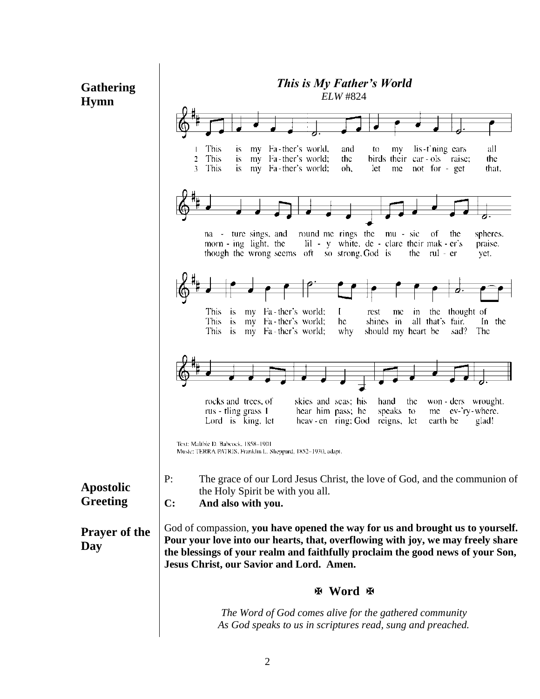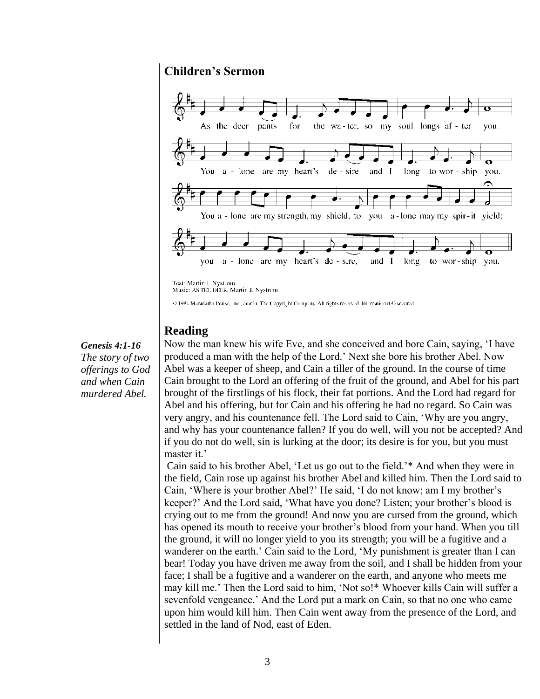

Music: AS THE DEER. Martin J. Nystrom

#### **Reading**

*Genesis 4:1-16 The story of two offerings to God and when Cain murdered Abel.*

Now the man knew his wife Eve, and she conceived and bore Cain, saying, 'I have produced a man with the help of the Lord.' Next she bore his brother Abel. Now Abel was a keeper of sheep, and Cain a tiller of the ground. In the course of time Cain brought to the Lord an offering of the fruit of the ground, and Abel for his part brought of the firstlings of his flock, their fat portions. And the Lord had regard for Abel and his offering, but for Cain and his offering he had no regard. So Cain was very angry, and his countenance fell. The Lord said to Cain, 'Why are you angry, and why has your countenance fallen? If you do well, will you not be accepted? And if you do not do well, sin is lurking at the door; its desire is for you, but you must master it.'

Cain said to his brother Abel, 'Let us go out to the field.'\* And when they were in the field, Cain rose up against his brother Abel and killed him. Then the Lord said to Cain, 'Where is your brother Abel?' He said, 'I do not know; am I my brother's keeper?' And the Lord said, 'What have you done? Listen; your brother's blood is crying out to me from the ground! And now you are cursed from the ground, which has opened its mouth to receive your brother's blood from your hand. When you till the ground, it will no longer yield to you its strength; you will be a fugitive and a wanderer on the earth.' Cain said to the Lord, 'My punishment is greater than I can bear! Today you have driven me away from the soil, and I shall be hidden from your face; I shall be a fugitive and a wanderer on the earth, and anyone who meets me may kill me.' Then the Lord said to him, 'Not so!\* Whoever kills Cain will suffer a sevenfold vengeance.' And the Lord put a mark on Cain, so that no one who came upon him would kill him. Then Cain went away from the presence of the Lord, and settled in the land of Nod, east of Eden.

<sup>© 1984</sup> Maranatha Praise, Inc., admin. The Copyright Company. All rights reserved. International © secured.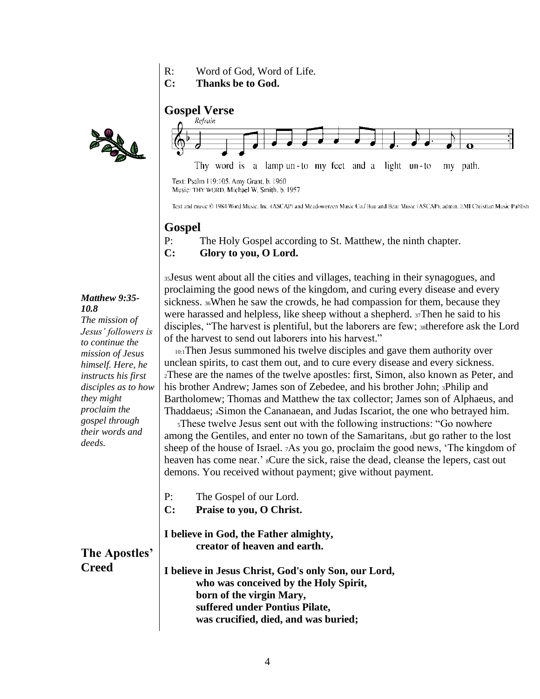- R: Word of God, Word of Life.
- **C: Thanks be to God.**

# **Gospel Verse**





Text: Psalm 119:105. Amv Grant, b. 1960 Music: THY WORD, Michael W. Smith, b. 1957

Text and music @ 1984 Word Music, Inc. (ASCAP) and Meadowereen Music Co./ Bug and Bear Music (ASCAP), admin. EMI Christian Music Publish

#### **Gospel**

- P: The Holy Gospel according to St. Matthew, the ninth chapter.
- **C: Glory to you, O Lord.**

#### *Matthew 9:35- 10.8*

*The mission of Jesus' followers is to continue the mission of Jesus himself. Here, he instructs his first disciples as to how they might proclaim the gospel through their words and deeds.*

| 35 Jesus went about all the cities and villages, teaching in their synagogues, and       |
|------------------------------------------------------------------------------------------|
| proclaiming the good news of the kingdom, and curing every disease and every             |
| sickness. $36$ When he saw the crowds, he had compassion for them, because they          |
| were harassed and helpless, like sheep without a shepherd. 37Then he said to his         |
| disciples, "The harvest is plentiful, but the laborers are few; satherefore ask the Lord |
| of the harvest to send out laborers into his harvest."                                   |

10:1Then Jesus summoned his twelve disciples and gave them authority over unclean spirits, to cast them out, and to cure every disease and every sickness. <sup>2</sup>These are the names of the twelve apostles: first, Simon, also known as Peter, and his brother Andrew; James son of Zebedee, and his brother John; 3Philip and Bartholomew; Thomas and Matthew the tax collector; James son of Alphaeus, and Thaddaeus; 4Simon the Cananaean, and Judas Iscariot, the one who betrayed him.

<sup>5</sup>These twelve Jesus sent out with the following instructions: "Go nowhere among the Gentiles, and enter no town of the Samaritans, 6but go rather to the lost sheep of the house of Israel. 7As you go, proclaim the good news, 'The kingdom of heaven has come near.'  $sCure$  the sick, raise the dead, cleanse the lepers, cast out demons. You received without payment; give without payment.

- P: The Gospel of our Lord.
- **C: Praise to you, O Christ.**

**I believe in God, the Father almighty, creator of heaven and earth.**

**The Apostles' Creed**

**I believe in Jesus Christ, God's only Son, our Lord, who was conceived by the Holy Spirit, born of the virgin Mary, suffered under Pontius Pilate, was crucified, died, and was buried;**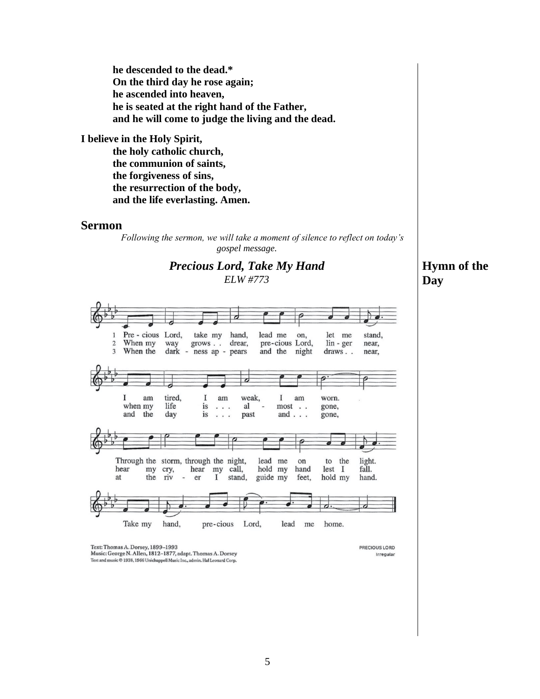**he descended to the dead.\* On the third day he rose again; he ascended into heaven, he is seated at the right hand of the Father, and he will come to judge the living and the dead. I believe in the Holy Spirit, the holy catholic church, the communion of saints, the forgiveness of sins, the resurrection of the body, and the life everlasting. Amen. Sermon** *Following the sermon, we will take a moment of silence to reflect on today's gospel message. Precious Lord, Take My Hand ELW #773* **Day**Pre - cious Lord,  $\mathbf{1}$ take my hand, lead me on, let me stand, When my pre-cious Lord,  $\overline{2}$ way grows . . drear.  $lin - ger$ near.  $\overline{3}$ When the dark - ness ap - pears and the night draws.. near, I tired, I weak,  $\rm I$ am am am worn. most. when my life is al gone,  $\cdots$ and the day and  $\ldots$ is . . . past gone, Through the storm, through the night, light. lead me on to the hear hear my call, hold my hand lest I fall. my cry, at the riv er I stand, guide my feet, hold my hand. hand, Take my pre-cious Lord, lead me home. Text: Thomas A. Dorsey, 1899-1993 PRECIOUS LORD Music: George N. Allen, 1812-1877, adapt. Thomas A. Dorsey Irregular  $\mbox{Text}$  and music  $\frak{S}$  1938, 1966<br> Unichappell Music Inc., admin. Hal Leonard Corp.

**Hymn of the**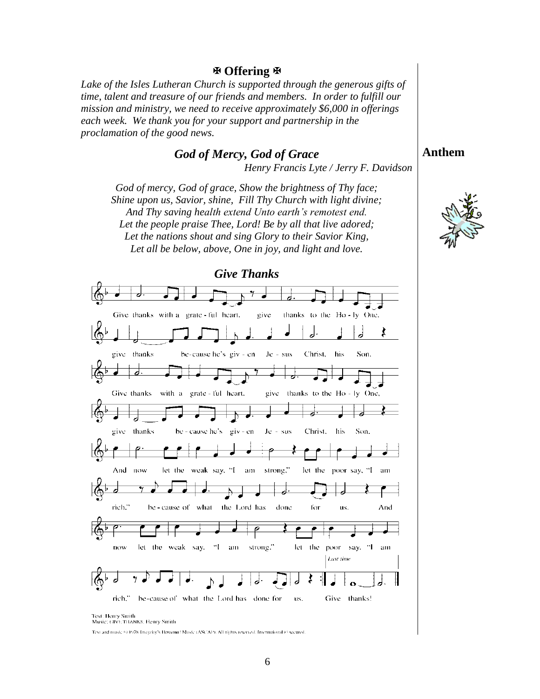#### **Offering**

Lake of the Isles Lutheran Church is supported through the generous gifts of *time, talent and treasure of our friends and members. In order to fulfill our mission and ministry, we need to receive approximately \$6,000 in offerings each week. We thank you for your support and partnership in the proclamation of the good news.*

#### *God of Mercy, God of Grace*

*Henry Francis Lyte / Jerry F. Davidson*

*God of mercy, God of grace, Show the brightness of Thy face; Shine upon us, Savior, shine, Fill Thy Church with light divine; And Thy saving health extend Unto earth's remotest end. Let the people praise Thee, Lord! Be by all that live adored; Let the nations shout and sing Glory to their Savior King, Let all be below, above, One in joy, and light and love.*



**Anthem**





Text and music 40 1978 Integrity's Hosamua! Music (ASCAP). All rights reserved. International 03 secured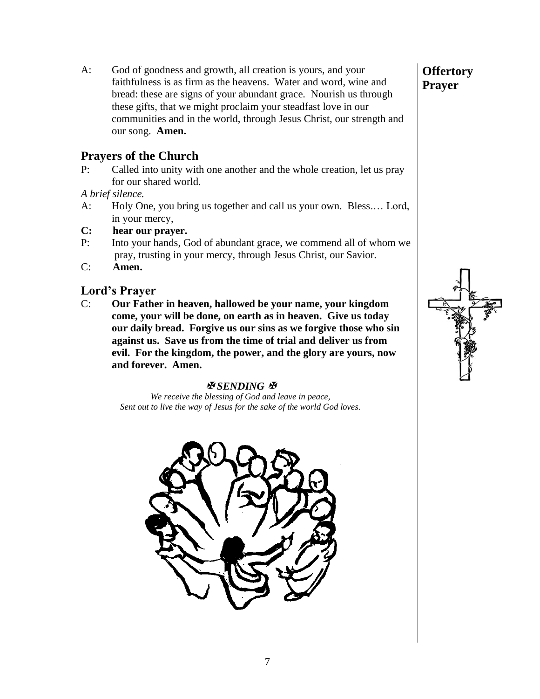A: God of goodness and growth, all creation is yours, and your faithfulness is as firm as the heavens. Water and word, wine and bread: these are signs of your abundant grace. Nourish us through these gifts, that we might proclaim your steadfast love in our communities and in the world, through Jesus Christ, our strength and our song. **Amen.**

#### **Prayers of the Church**

P: Called into unity with one another and the whole creation, let us pray for our shared world.

*A brief silence.*

- A: Holy One, you bring us together and call us your own. Bless.… Lord, in your mercy,
- **C: hear our prayer.**
- P: Into your hands, God of abundant grace, we commend all of whom we pray, trusting in your mercy, through Jesus Christ, our Savior.
- C: **Amen.**

#### **Lord's Prayer**

C: **Our Father in heaven, hallowed be your name, your kingdom come, your will be done, on earth as in heaven. Give us today our daily bread. Forgive us our sins as we forgive those who sin against us. Save us from the time of trial and deliver us from evil. For the kingdom, the power, and the glory are yours, now and forever. Amen.**

#### **图 SENDING 图**

*We receive the blessing of God and leave in peace, Sent out to live the way of Jesus for the sake of the world God loves.*



## **Offertory Prayer**

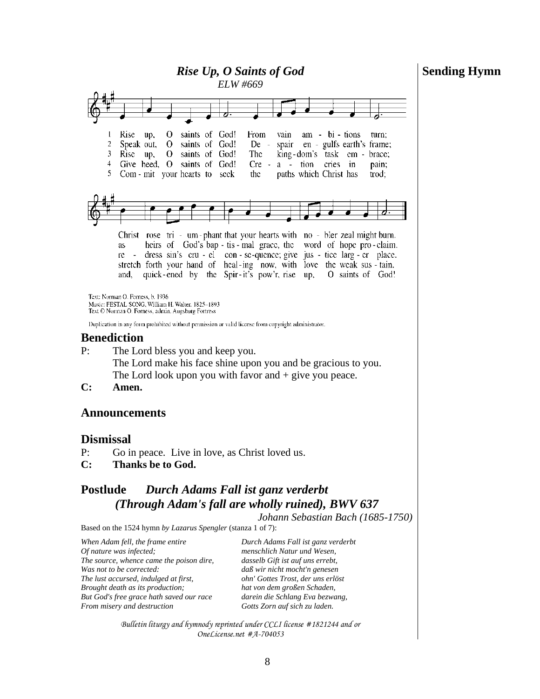#### *Rise Up, O Saints of God* **Sending Hymn** *ELW #669*  $\mathbf{I}$ Rise up,  $\theta$ saints of God! From vain  $am - bi - tions$ turn: saints of God!  $\overline{\mathcal{L}}$ Speak out,  $\Omega$  $De$ spair en - gulfs earth's frame; 3 Rise up,  $\theta$ saints of God! The king-dom's task cm bracc: a - tion cries in  $\Delta$ Give heed, O saints of God!  $Cre$ pain; 5 Com - mit your hearts to seek the paths which Christ has trod: Christ rose tri - um-phant that your hearts with no - bler zeal might burn. **as** heirs of God's bap - tis - mal grace, the word of hope pro-claim. re dress sin's cru - el con - se-quence; give jus - tice larg - er place. stretch forth your hand of heal-ing now, with love the weak sus-tain. O saints of God! and, quick-ened by the Spir-it's pow'r, rise up, Text: Norman O. Forness, b. 1936 Music: FESTAL SONG, William H. Walter. 1825-1893 Text © Norman O. Forness, admin. Augsburg Fortress Duplication in any form prohibited without permission or valid license from copyright administrator. **Benediction** P: The Lord bless you and keep you. The Lord make his face shine upon you and be gracious to you. The Lord look upon you with favor and  $+$  give you peace. **C: Amen. Announcements Dismissal** P: Go in peace. Live in love, as Christ loved us. **C: Thanks be to God. Postlude** *Durch Adams Fall ist ganz verderbt (Through Adam's fall are wholly ruined), BWV 637 Johann Sebastian Bach (1685-1750)* Based on the 1524 hymn *by Lazarus Spengler* (stanza 1 of 7): *When Adam fell, the frame entire Durch Adams Fall ist ganz verderbt Of nature was infected; menschlich Natur und Wesen, dasselb Gift ist auf uns errebt,*

*The source, whence came the poison dire, Was not to be corrected: The lust accursed, indulged at first, Brought death as its production; But God's free grace hath saved our race From misery and destruction*

*daß wir nicht mocht'n genesen ohn' Gottes Trost, der uns erlöst hat von dem großen Schaden, darein die Schlang Eva bezwang, Gotts Zorn auf sich zu laden.*

*Bulletin liturgy and hymnody reprinted under CCLI license #1821244 and or OneLicense.net #A-704053*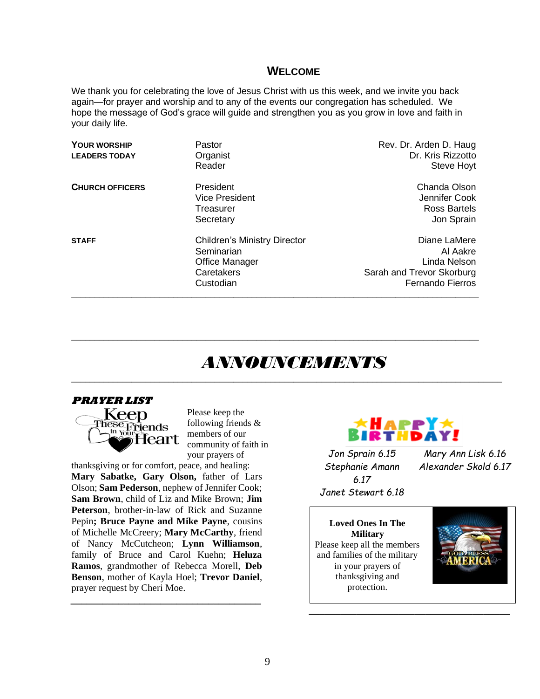#### **WELCOME**

We thank you for celebrating the love of Jesus Christ with us this week, and we invite you back again—for prayer and worship and to any of the events our congregation has scheduled. We hope the message of God's grace will guide and strengthen you as you grow in love and faith in your daily life.

| <b>YOUR WORSHIP</b><br><b>LEADERS TODAY</b> | Pastor<br>Organist<br>Reader                                                                   | Rev. Dr. Arden D. Haug<br>Dr. Kris Rizzotto<br>Steve Hoyt                                        |
|---------------------------------------------|------------------------------------------------------------------------------------------------|--------------------------------------------------------------------------------------------------|
| <b>CHURCH OFFICERS</b>                      | President<br><b>Vice President</b><br>Treasurer<br>Secretary                                   | Chanda Olson<br>Jennifer Cook<br>Ross Bartels<br>Jon Sprain                                      |
| <b>STAFF</b>                                | <b>Children's Ministry Director</b><br>Seminarian<br>Office Manager<br>Caretakers<br>Custodian | Diane LaMere<br>Al Aakre<br>Linda Nelson<br>Sarah and Trevor Skorburg<br><b>Fernando Fierros</b> |

\_\_\_\_\_\_\_\_\_\_\_\_\_\_\_\_\_\_\_\_\_\_\_\_\_\_\_\_\_\_\_\_\_\_\_\_\_\_\_\_\_\_\_\_\_\_\_\_\_\_\_\_\_\_\_\_\_\_\_\_\_\_\_\_\_\_\_\_\_\_\_\_\_\_\_\_\_\_\_\_\_\_\_\_\_\_\_\_

# *ANNOUNCEMENTS*

\_\_\_\_\_\_\_\_\_\_\_\_\_\_\_\_\_\_\_\_\_\_\_\_\_\_\_\_\_\_\_\_\_\_\_\_\_\_\_\_\_\_\_\_\_\_\_\_\_\_\_\_\_\_\_\_\_\_\_\_\_\_\_\_\_\_\_\_\_\_\_\_\_\_\_\_\_\_\_\_\_\_\_\_\_\_\_\_\_\_\_\_\_

# **PRAYER LIST**



Please keep the following friends & members of our community of faith in your prayers of

thanksgiving or for comfort, peace, and healing: **Mary Sabatke, Gary Olson,** father of Lars Olson; **Sam Pederson**, nephew of Jennifer Cook; **Sam Brown**, child of Liz and Mike Brown; **Jim Peterson**, brother-in-law of Rick and Suzanne Pepin**; Bruce Payne and Mike Payne**, cousins of Michelle McCreery; **Mary McCarthy**, friend of Nancy McCutcheon; **Lynn Williamson**, family of Bruce and Carol Kuehn; **Heluza Ramos**, grandmother of Rebecca Morell, **Deb Benson**, mother of Kayla Hoel; **Trevor Daniel**, prayer request by Cheri Moe.

*\_\_\_\_\_\_\_\_\_\_\_\_\_\_\_\_\_\_\_\_\_\_\_\_\_\_\_\_\_\_\_\_\_\_\_\_*

# *<u>\*HARRY</u>\*!*

*\_\_\_\_\_\_\_\_\_\_\_\_\_\_\_\_\_\_\_\_\_\_\_\_\_\_\_\_\_\_\_\_\_\_\_\_\_\_*

*Stephanie Amann 6.17 Janet Stewart 6.18*

*Jon Sprain 6.15 Mary Ann Lisk 6.16 Alexander Skold 6.17*

**Loved Ones In The Military** Please keep all the members and families of the military in your prayers of thanksgiving and protection.